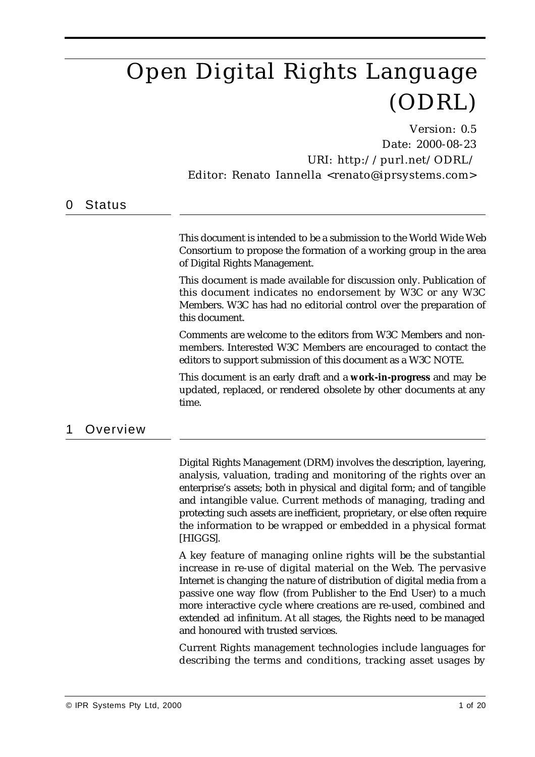# Open Digital Rights Language (ODRL)

Version: 0.5 Date: 2000-08-23 URI: http://purl.net/ODRL/ Editor: Renato Iannella <renato@iprsystems.com>

### 0 Status

This document is intended to be a submission to the World Wide Web Consortium to propose the formation of a working group in the area of Digital Rights Management.

This document is made available for discussion only. Publication of this document indicates no endorsement by W3C or any W3C Members. W3C has had no editorial control over the preparation of this document.

Comments are welcome to the editors from W3C Members and nonmembers. Interested W3C Members are encouraged to contact the editors to support submission of this document as a W3C NOTE.

This document is an early draft and a **work-in-progress** and may be updated, replaced, or rendered obsolete by other documents at any time.

## 1 Overview

Digital Rights Management (DRM) involves the description, layering, analysis, valuation, trading and monitoring of the rights over an enterprise's assets; both in physical and digital form; and of tangible and intangible value. Current methods of managing, trading and protecting such assets are inefficient, proprietary, or else often require the information to be wrapped or embedded in a physical format [HIGGS].

A key feature of managing online rights will be the substantial increase in re-use of digital material on the Web. The pervasive Internet is changing the nature of distribution of digital media from a passive one way flow (from Publisher to the End User) to a much more interactive cycle where creations are re-used, combined and extended ad infinitum. At all stages, the Rights need to be managed and honoured with trusted services.

Current Rights management technologies include languages for describing the terms and conditions, tracking asset usages by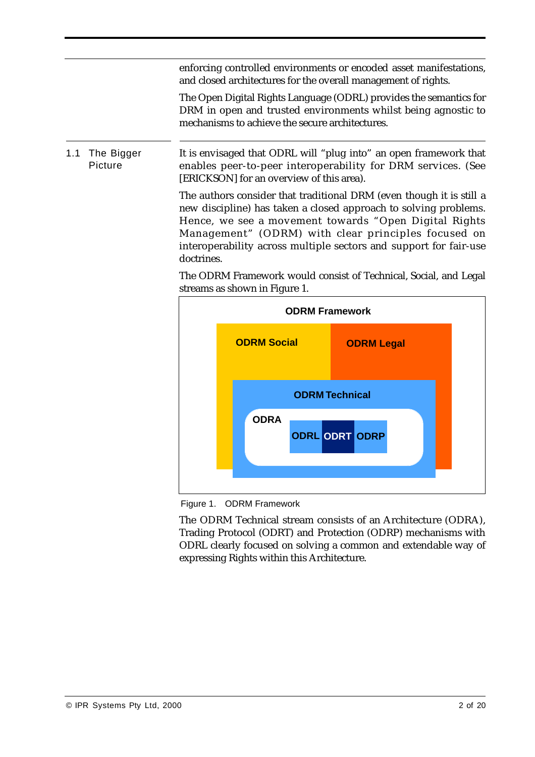enforcing controlled environments or encoded asset manifestations, and closed architectures for the overall management of rights.

The Open Digital Rights Language (ODRL) provides the semantics for DRM in open and trusted environments whilst being agnostic to mechanisms to achieve the secure architectures.

1.1 The Bigger Picture It is envisaged that ODRL will "plug into" an open framework that enables peer-to-peer interoperability for DRM services. (See [ERICKSON] for an overview of this area).

> The authors consider that traditional DRM (even though it is still a new discipline) has taken a closed approach to solving problems. Hence, we see a movement towards "Open Digital Rights Management" (ODRM) with clear principles focused on interoperability across multiple sectors and support for fair-use doctrines.

> The ODRM Framework would consist of Technical, Social, and Legal streams as shown in Figure 1.



Figure 1. ODRM Framework

The ODRM Technical stream consists of an Architecture (ODRA), Trading Protocol (ODRT) and Protection (ODRP) mechanisms with ODRL clearly focused on solving a common and extendable way of expressing Rights within this Architecture.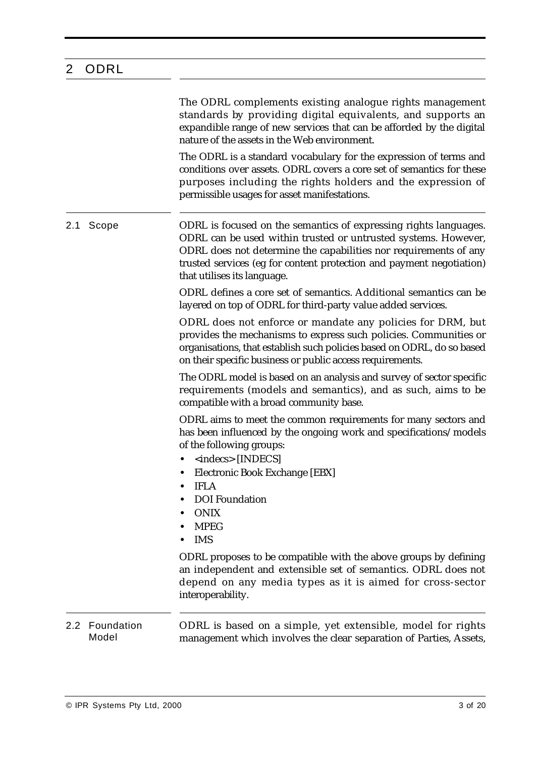# 2 ODRL

| The ODRL complements existing analogue rights management             |
|----------------------------------------------------------------------|
| standards by providing digital equivalents, and supports an          |
| expandible range of new services that can be afforded by the digital |
| nature of the assets in the Web environment.                         |

The ODRL is a standard vocabulary for the expression of terms and conditions over assets. ODRL covers a core set of semantics for these purposes including the rights holders and the expression of permissible usages for asset manifestations.

2.1 Scope ODRL is focused on the semantics of expressing rights languages. ODRL can be used within trusted or untrusted systems. However, ODRL does not determine the capabilities nor requirements of any trusted services (eg for content protection and payment negotiation) that utilises its language.

> ODRL defines a core set of semantics. Additional semantics can be layered on top of ODRL for third-party value added services.

> ODRL does not enforce or mandate any policies for DRM, but provides the mechanisms to express such policies. Communities or organisations, that establish such policies based on ODRL, do so based on their specific business or public access requirements.

> The ODRL model is based on an analysis and survey of sector specific requirements (models and semantics), and as such, aims to be compatible with a broad community base.

> ODRL aims to meet the common requirements for many sectors and has been influenced by the ongoing work and specifications/models of the following groups:

- **•** <indecs> [INDECS]
- **•** Electronic Book Exchange [EBX]
- **•** IFLA
- **•** DOI Foundation
- **•** ONIX
- **•** MPEG
- **•** IMS

ODRL proposes to be compatible with the above groups by defining an independent and extensible set of semantics. ODRL does not depend on any media types as it is aimed for cross-sector interoperability.

#### 2.2 Foundation Model ODRL is based on a simple, yet extensible, model for rights management which involves the clear separation of Parties, Assets,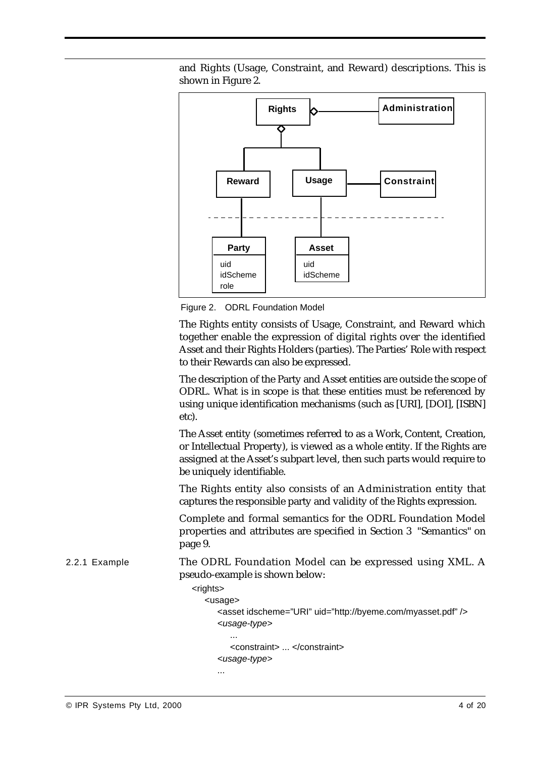

and Rights (Usage, Constraint, and Reward) descriptions. This is shown in Figure 2.

Figure 2. ODRL Foundation Model

The Rights entity consists of Usage, Constraint, and Reward which together enable the expression of digital rights over the identified Asset and their Rights Holders (parties). The Parties' Role with respect to their Rewards can also be expressed.

The description of the Party and Asset entities are outside the scope of ODRL. What is in scope is that these entities must be referenced by using unique identification mechanisms (such as [URI], [DOI], [ISBN] etc).

The Asset entity (sometimes referred to as a Work, Content, Creation, or Intellectual Property), is viewed as a whole entity. If the Rights are assigned at the Asset's subpart level, then such parts would require to be uniquely identifiable.

The Rights entity also consists of an Administration entity that captures the responsible party and validity of the Rights expression.

Complete and formal semantics for the ODRL Foundation Model properties and attributes are specified in Section 3 "Semantics" on page 9.

2.2.1 Example The ODRL Foundation Model can be expressed using XML. A pseudo-example is shown below:

```
<rights>
   <usage>
      <asset idscheme="URI" uid="http://byeme.com/myasset.pdf" />
      <usage-type>
         ...
         <constraint> ... </constraint>
      <usage-type>
      ...
```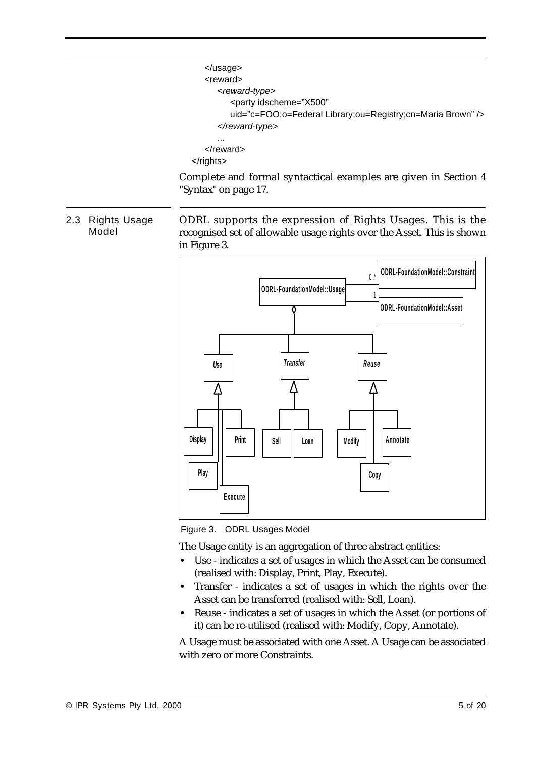```
</usage>
   <reward>
      <reward-type>
         <party idscheme="X500"
         uid="c=FOO;o=Federal Library;ou=Registry;cn=Maria Brown" />
      </reward-type>
      ...
   </reward>
</rights>
```
Complete and formal syntactical examples are given in Section 4 "Syntax" on page 17.

2.3 Rights Usage Model

ODRL supports the expression of Rights Usages. This is the recognised set of allowable usage rights over the Asset. This is shown in Figure 3.



Figure 3. ODRL Usages Model

The Usage entity is an aggregation of three abstract entities:

- **•** Use indicates a set of usages in which the Asset can be consumed (realised with: Display, Print, Play, Execute).
- **•** Transfer indicates a set of usages in which the rights over the Asset can be transferred (realised with: Sell, Loan).
- **•** Reuse indicates a set of usages in which the Asset (or portions of it) can be re-utilised (realised with: Modify, Copy, Annotate).

A Usage must be associated with one Asset. A Usage can be associated with zero or more Constraints.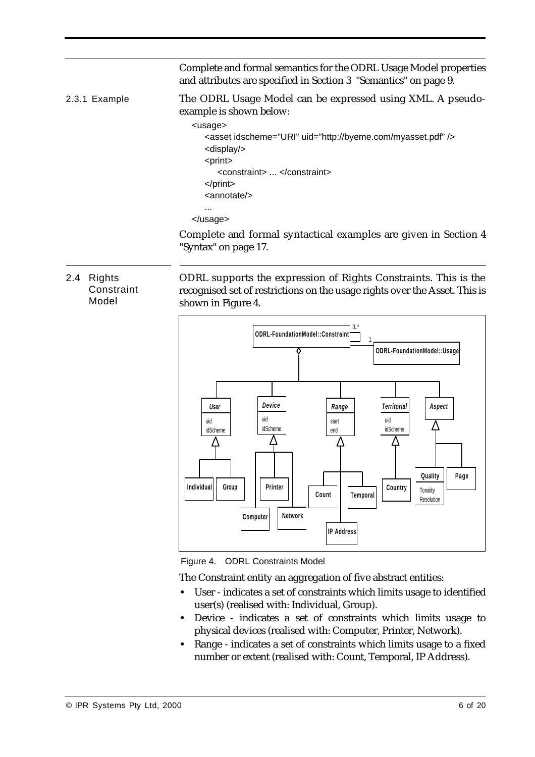Complete and formal semantics for the ODRL Usage Model properties and attributes are specified in Section 3 "Semantics" on page 9. 2.3.1 Example The ODRL Usage Model can be expressed using XML. A pseudoexample is shown below: <usage> <asset idscheme="URI" uid="http://byeme.com/myasset.pdf" /> <display/> <print> <constraint> ... </constraint> </print> <annotate/> ... </usage> Complete and formal syntactical examples are given in Section 4

"Syntax" on page 17.

### 2.4 Rights **Constraint** Model

ODRL supports the expression of Rights Constraints. This is the recognised set of restrictions on the usage rights over the Asset. This is shown in Figure 4.



Figure 4. ODRL Constraints Model

The Constraint entity an aggregation of five abstract entities:

- **•** User indicates a set of constraints which limits usage to identified user(s) (realised with: Individual, Group).
- **•** Device indicates a set of constraints which limits usage to physical devices (realised with: Computer, Printer, Network).
- **•** Range indicates a set of constraints which limits usage to a fixed number or extent (realised with: Count, Temporal, IP Address).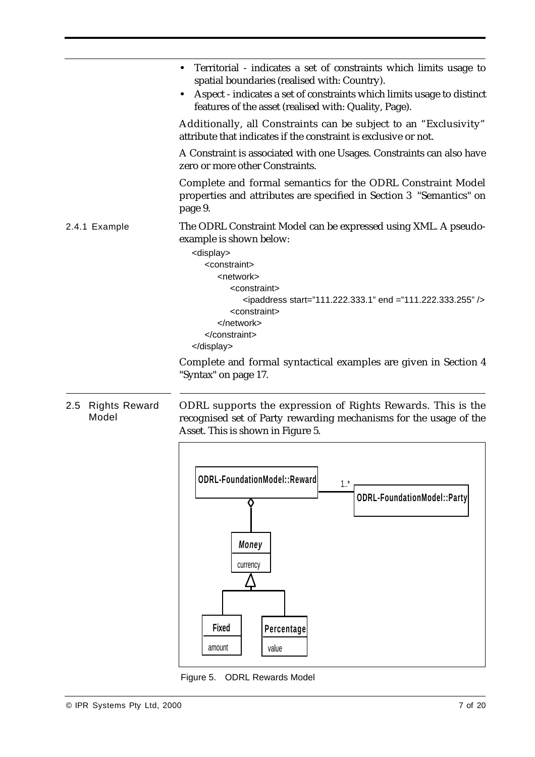|                                      | Territorial - indicates a set of constraints which limits usage to<br>spatial boundaries (realised with: Country).<br>Aspect - indicates a set of constraints which limits usage to distinct<br>features of the asset (realised with: Quality, Page). |
|--------------------------------------|-------------------------------------------------------------------------------------------------------------------------------------------------------------------------------------------------------------------------------------------------------|
|                                      | Additionally, all Constraints can be subject to an "Exclusivity"<br>attribute that indicates if the constraint is exclusive or not.                                                                                                                   |
|                                      | A Constraint is associated with one Usages. Constraints can also have<br>zero or more other Constraints.                                                                                                                                              |
|                                      | Complete and formal semantics for the ODRL Constraint Model<br>properties and attributes are specified in Section 3 "Semantics" on<br>page 9.                                                                                                         |
| 2.4.1 Example                        | The ODRL Constraint Model can be expressed using XML. A pseudo-<br>example is shown below:<br><display></display>                                                                                                                                     |
|                                      | <constraint></constraint>                                                                                                                                                                                                                             |
|                                      | <network><br/><constraint></constraint></network>                                                                                                                                                                                                     |
|                                      | $\epsilon$ ipaddress start="111.222.333.1" end ="111.222.333.255" /><br><constraint><br/></constraint>                                                                                                                                                |
|                                      |                                                                                                                                                                                                                                                       |
|                                      | <br>Complete and formal syntactical examples are given in Section 4<br>"Syntax" on page 17.                                                                                                                                                           |
| 2.5<br><b>Rights Reward</b><br>Model | ODRL supports the expression of Rights Rewards. This is the<br>recognised set of Party rewarding mechanisms for the usage of the                                                                                                                      |



Figure 5. ODRL Rewards Model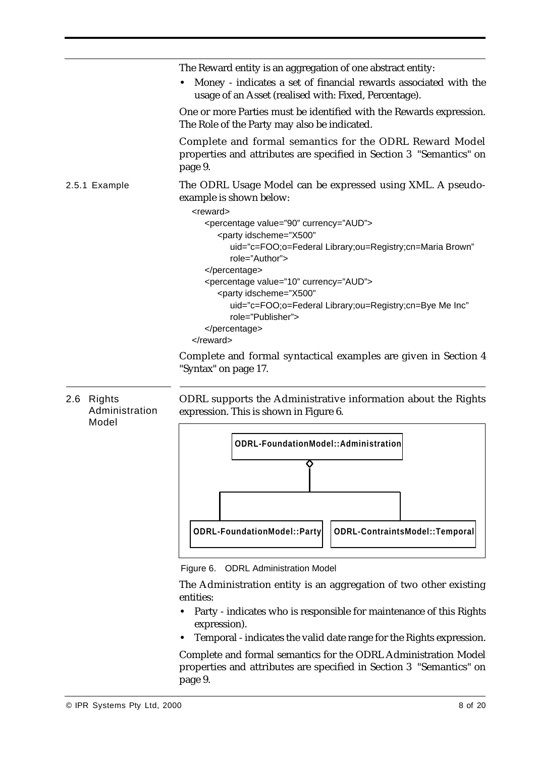|               | The Reward entity is an aggregation of one abstract entity:                                                                                                                                        |
|---------------|----------------------------------------------------------------------------------------------------------------------------------------------------------------------------------------------------|
|               | Money - indicates a set of financial rewards associated with the<br>usage of an Asset (realised with: Fixed, Percentage).                                                                          |
|               | One or more Parties must be identified with the Rewards expression.<br>The Role of the Party may also be indicated.                                                                                |
|               | Complete and formal semantics for the ODRL Reward Model<br>properties and attributes are specified in Section 3 "Semantics" on<br>page 9.                                                          |
| 2.5.1 Example | The ODRL Usage Model can be expressed using XML. A pseudo-<br>example is shown below:                                                                                                              |
|               | <reward><br/><percentage currency="AUD" value="90"><br/><party <br="" idscheme="X500">uid="c=FOO;o=Federal Library;ou=Registry;cn=Maria Brown"<br/>role="Author"&gt;</party></percentage></reward> |
|               | <br><percentage currency="AUD" value="10"><br/><party <="" idscheme="X500" td=""></party></percentage>                                                                                             |
|               | uid="c=FOO;o=Federal Library;ou=Registry;cn=Bye Me Inc"<br>role="Publisher">                                                                                                                       |
|               | <br>$\alpha$ /reward>                                                                                                                                                                              |

Complete and formal syntactical examples are given in Section 4 "Syntax" on page 17.

### 2.6 Rights Administration Model

ODRL supports the Administrative information about the Rights expression. This is shown in Figure 6.



Figure 6. ODRL Administration Model

The Administration entity is an aggregation of two other existing entities:

- **•** Party indicates who is responsible for maintenance of this Rights expression).
- **•** Temporal indicates the valid date range for the Rights expression.

Complete and formal semantics for the ODRL Administration Model properties and attributes are specified in Section 3 "Semantics" on page 9.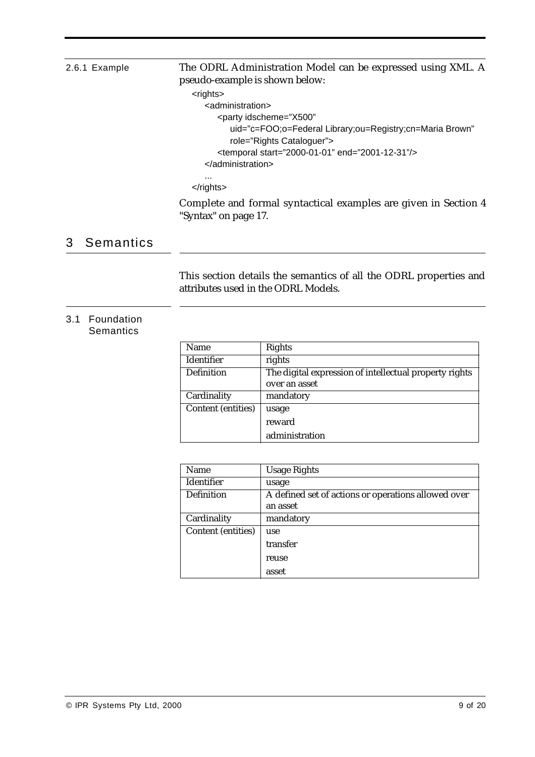### 2.6.1 Example The ODRL Administration Model can be expressed using XML. A pseudo-example is shown below:

<rights>

```
<administration>
      <party idscheme="X500"
         uid="c=FOO;o=Federal Library;ou=Registry;cn=Maria Brown" 
         role="Rights Cataloguer">
      <temporal start="2000-01-01" end="2001-12-31"/>
   </administration>
   ...
</rights>
```
Complete and formal syntactical examples are given in Section 4 "Syntax" on page 17.

# 3 Semantics

This section details the semantics of all the ODRL properties and attributes used in the ODRL Models.

#### 3.1 Foundation Semantics

| <b>Name</b>               | <b>Rights</b>                                          |
|---------------------------|--------------------------------------------------------|
| <b>Identifier</b>         | rights                                                 |
| <b>Definition</b>         | The digital expression of intellectual property rights |
|                           | over an asset                                          |
| Cardinality               | mandatory                                              |
| <b>Content (entities)</b> | usage                                                  |
|                           | reward                                                 |
|                           | administration                                         |

| <b>Name</b>               | <b>Usage Rights</b>                                 |
|---------------------------|-----------------------------------------------------|
| <b>Identifier</b>         | usage                                               |
| <b>Definition</b>         | A defined set of actions or operations allowed over |
|                           | an asset                                            |
| Cardinality               | mandatory                                           |
| <b>Content (entities)</b> | use                                                 |
|                           | transfer                                            |
|                           | reuse                                               |
|                           | asset                                               |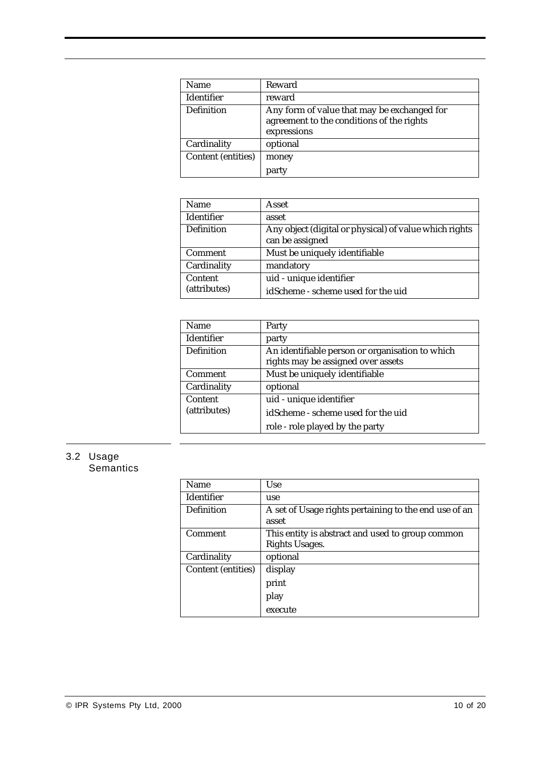| <b>Name</b>               | Reward                                                                                                  |
|---------------------------|---------------------------------------------------------------------------------------------------------|
| <b>Identifier</b>         | reward                                                                                                  |
| <b>Definition</b>         | Any form of value that may be exchanged for<br>agreement to the conditions of the rights<br>expressions |
| Cardinality               | optional                                                                                                |
| <b>Content (entities)</b> | money<br>party                                                                                          |

| <b>Name</b>       | Asset                                                                     |
|-------------------|---------------------------------------------------------------------------|
| Identifier        | asset                                                                     |
| <b>Definition</b> | Any object (digital or physical) of value which rights<br>can be assigned |
| <b>Comment</b>    | Must be uniquely identifiable                                             |
| Cardinality       | mandatory                                                                 |
| Content           | uid - unique identifier                                                   |
| (attributes)      | idScheme - scheme used for the uid                                        |

| <b>Name</b>       | Party                                                                                 |
|-------------------|---------------------------------------------------------------------------------------|
| Identifier        | party                                                                                 |
| <b>Definition</b> | An identifiable person or organisation to which<br>rights may be assigned over assets |
| <b>Comment</b>    | Must be uniquely identifiable                                                         |
| Cardinality       | optional                                                                              |
| Content           | uid - unique identifier                                                               |
| (attributes)      | idScheme - scheme used for the uid                                                    |
|                   | role - role played by the party                                                       |

# 3.2 Usage

**Semantics** 

| Name                      | <b>Use</b>                                                     |
|---------------------------|----------------------------------------------------------------|
| <b>Identifier</b>         | use                                                            |
| <b>Definition</b>         | A set of Usage rights pertaining to the end use of an<br>asset |
| <b>Comment</b>            | This entity is abstract and used to group common               |
|                           | Rights Usages.                                                 |
| Cardinality               | optional                                                       |
| <b>Content (entities)</b> | display                                                        |
|                           | print                                                          |
|                           | play                                                           |
|                           | execute                                                        |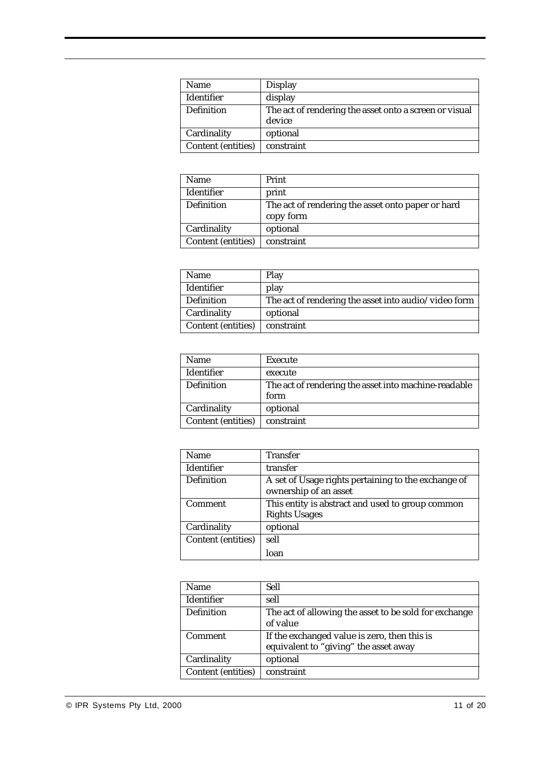| <b>Name</b>               | <b>Display</b>                                                   |
|---------------------------|------------------------------------------------------------------|
| <b>Identifier</b>         | display                                                          |
| <b>Definition</b>         | The act of rendering the asset onto a screen or visual<br>device |
| Cardinality               | optional                                                         |
| <b>Content (entities)</b> | constraint                                                       |

| <b>Name</b>               | Print                                                          |
|---------------------------|----------------------------------------------------------------|
| <b>Identifier</b>         | print                                                          |
| <b>Definition</b>         | The act of rendering the asset onto paper or hard<br>copy form |
| Cardinality               | optional                                                       |
| <b>Content (entities)</b> | constraint                                                     |

| <b>Name</b>               | Play                                                 |
|---------------------------|------------------------------------------------------|
| <b>Identifier</b>         | play                                                 |
| <b>Definition</b>         | The act of rendering the asset into audio/video form |
| Cardinality               | optional                                             |
| <b>Content (entities)</b> | constraint                                           |

| Name                      | Execute                                              |
|---------------------------|------------------------------------------------------|
| <b>Identifier</b>         | execute                                              |
| <b>Definition</b>         | The act of rendering the asset into machine-readable |
|                           | form                                                 |
| Cardinality               | optional                                             |
| <b>Content (entities)</b> | constraint                                           |

| <b>Name</b>               | <b>Transfer</b>                                                              |
|---------------------------|------------------------------------------------------------------------------|
| <b>Identifier</b>         | transfer                                                                     |
| <b>Definition</b>         | A set of Usage rights pertaining to the exchange of<br>ownership of an asset |
| <b>Comment</b>            | This entity is abstract and used to group common<br><b>Rights Usages</b>     |
| Cardinality               | optional                                                                     |
| <b>Content (entities)</b> | sell                                                                         |
|                           | loan                                                                         |

| <b>Name</b>               | Sell                                                                                  |
|---------------------------|---------------------------------------------------------------------------------------|
| <b>Identifier</b>         | sell                                                                                  |
| <b>Definition</b>         | The act of allowing the asset to be sold for exchange<br>of value                     |
| <b>Comment</b>            | If the exchanged value is zero, then this is<br>equivalent to "giving" the asset away |
| Cardinality               | optional                                                                              |
| <b>Content (entities)</b> | constraint                                                                            |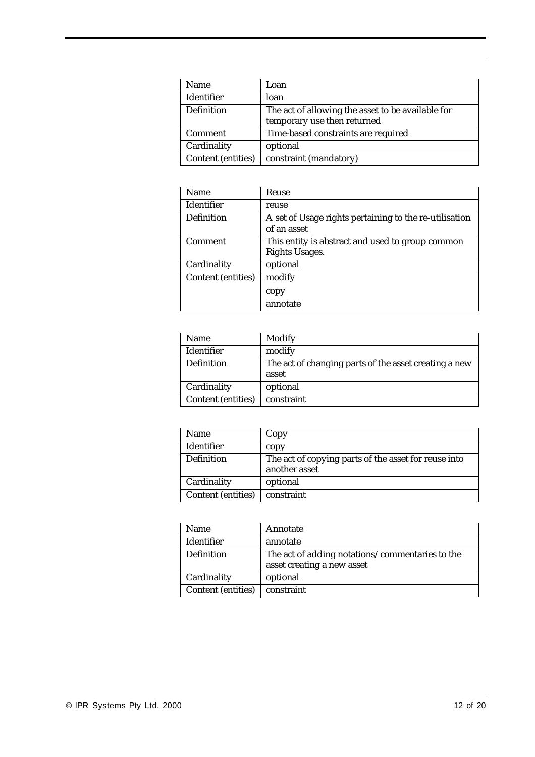| <b>Name</b>               | Loan                                              |
|---------------------------|---------------------------------------------------|
| <b>Identifier</b>         | loan                                              |
| <b>Definition</b>         | The act of allowing the asset to be available for |
|                           | temporary use then returned                       |
| Comment                   | Time-based constraints are required               |
| Cardinality               | optional                                          |
| <b>Content (entities)</b> | constraint (mandatory)                            |

| Reuse                                                  |
|--------------------------------------------------------|
| reuse                                                  |
| A set of Usage rights pertaining to the re-utilisation |
| of an asset                                            |
| This entity is abstract and used to group common       |
| <b>Rights Usages.</b>                                  |
| optional                                               |
| modify                                                 |
| copy                                                   |
| annotate                                               |
|                                                        |

| <b>Name</b>               | Modify                                                         |
|---------------------------|----------------------------------------------------------------|
| <b>Identifier</b>         | modify                                                         |
| <b>Definition</b>         | The act of changing parts of the asset creating a new<br>asset |
| Cardinality               | optional                                                       |
| <b>Content (entities)</b> | constraint                                                     |

| <b>Name</b>               | Copy                                                                  |
|---------------------------|-----------------------------------------------------------------------|
| <b>Identifier</b>         | copy                                                                  |
| <b>Definition</b>         | The act of copying parts of the asset for reuse into<br>another asset |
| Cardinality               | optional                                                              |
| <b>Content (entities)</b> | constraint                                                            |

| <b>Name</b>               | Annotate                                        |
|---------------------------|-------------------------------------------------|
| <b>Identifier</b>         | annotate                                        |
| <b>Definition</b>         | The act of adding notations/commentaries to the |
|                           | asset creating a new asset                      |
| Cardinality               | optional                                        |
| <b>Content (entities)</b> | constraint                                      |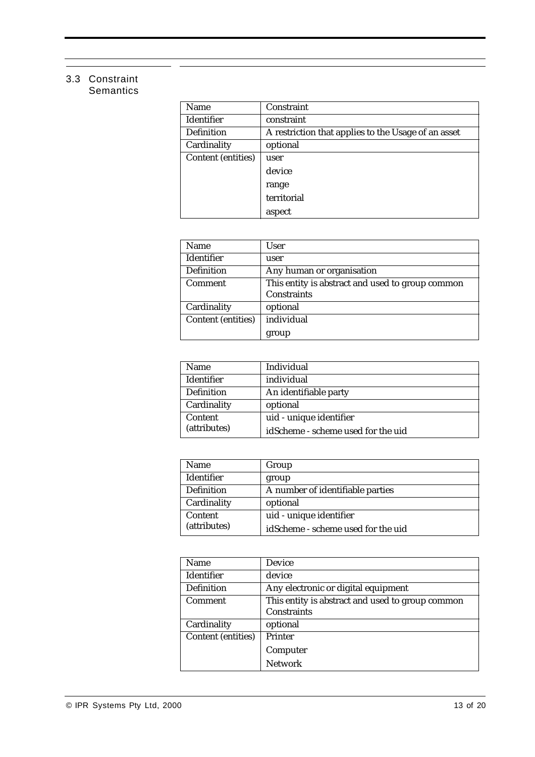### 3.3 Constraint **Semantics**

| <b>Name</b>               | Constraint                                          |
|---------------------------|-----------------------------------------------------|
| <b>Identifier</b>         | constraint                                          |
| <b>Definition</b>         | A restriction that applies to the Usage of an asset |
| Cardinality               | optional                                            |
| <b>Content (entities)</b> | user                                                |
|                           | device                                              |
|                           | range                                               |
|                           | territorial                                         |
|                           | aspect                                              |

| <b>Name</b>               | <b>User</b>                                      |
|---------------------------|--------------------------------------------------|
| <b>Identifier</b>         | user                                             |
| <b>Definition</b>         | Any human or organisation                        |
| <b>Comment</b>            | This entity is abstract and used to group common |
|                           | <b>Constraints</b>                               |
| Cardinality               | optional                                         |
| <b>Content (entities)</b> | individual                                       |
|                           | group                                            |

| <b>Name</b>       | Individual                         |
|-------------------|------------------------------------|
| <b>Identifier</b> | individual                         |
| <b>Definition</b> | An identifiable party              |
| Cardinality       | optional                           |
| Content           | uid - unique identifier            |
| (attributes)      | idScheme - scheme used for the uid |

| <b>Name</b>       | Group                              |
|-------------------|------------------------------------|
| <b>Identifier</b> | group                              |
| <b>Definition</b> | A number of identifiable parties   |
| Cardinality       | optional                           |
| Content           | uid - unique identifier            |
| (attributes)      | idScheme - scheme used for the uid |

| <b>Name</b>               | <b>Device</b>                                    |
|---------------------------|--------------------------------------------------|
| <b>Identifier</b>         | device                                           |
| <b>Definition</b>         | Any electronic or digital equipment              |
| <b>Comment</b>            | This entity is abstract and used to group common |
|                           | <b>Constraints</b>                               |
| Cardinality               | optional                                         |
| <b>Content (entities)</b> | <b>Printer</b>                                   |
|                           | Computer                                         |
|                           | <b>Network</b>                                   |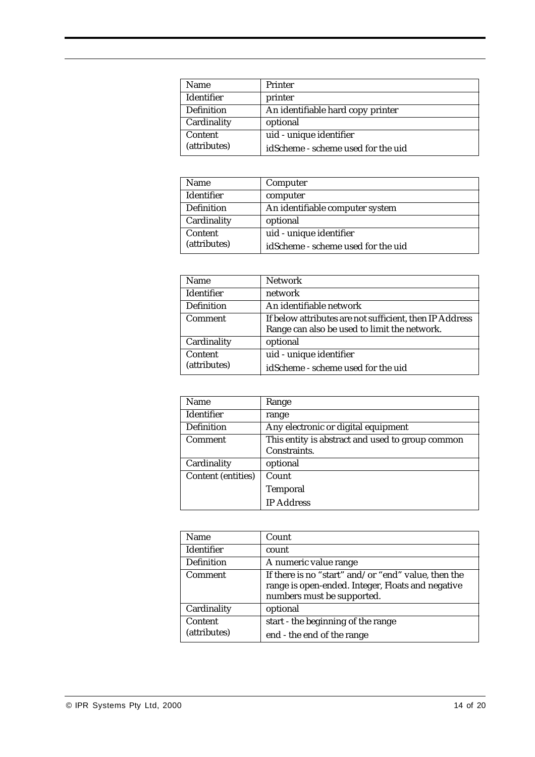| <b>Name</b>       | <b>Printer</b>                     |
|-------------------|------------------------------------|
| <b>Identifier</b> | printer                            |
| <b>Definition</b> | An identifiable hard copy printer  |
| Cardinality       | optional                           |
| <b>Content</b>    | uid - unique identifier            |
| (attributes)      | idScheme - scheme used for the uid |

| <b>Name</b>       | Computer                           |
|-------------------|------------------------------------|
| Identifier        | computer                           |
| <b>Definition</b> | An identifiable computer system    |
| Cardinality       | optional                           |
| <b>Content</b>    | uid - unique identifier            |
| (attributes)      | idScheme - scheme used for the uid |

| <b>Name</b>       | <b>Network</b>                                          |
|-------------------|---------------------------------------------------------|
| <b>Identifier</b> | network                                                 |
| <b>Definition</b> | An identifiable network                                 |
| <b>Comment</b>    | If below attributes are not sufficient, then IP Address |
|                   | Range can also be used to limit the network.            |
| Cardinality       | optional                                                |
| Content           | uid - unique identifier                                 |
| (attributes)      | idScheme - scheme used for the uid                      |

| <b>Name</b>               | Range                                            |
|---------------------------|--------------------------------------------------|
| <b>Identifier</b>         | range                                            |
| <b>Definition</b>         | Any electronic or digital equipment              |
| <b>Comment</b>            | This entity is abstract and used to group common |
|                           | Constraints.                                     |
| Cardinality               | optional                                         |
| <b>Content (entities)</b> | Count                                            |
|                           | <b>Temporal</b>                                  |
|                           | <b>IP Address</b>                                |

| <b>Name</b>             | Count                                                                                                                                  |
|-------------------------|----------------------------------------------------------------------------------------------------------------------------------------|
| <b>Identifier</b>       | count                                                                                                                                  |
| <b>Definition</b>       | A numeric value range                                                                                                                  |
| <b>Comment</b>          | If there is no "start" and/or "end" value, then the<br>range is open-ended. Integer, Floats and negative<br>numbers must be supported. |
| Cardinality             | optional                                                                                                                               |
| Content<br>(attributes) | start - the beginning of the range<br>end - the end of the range                                                                       |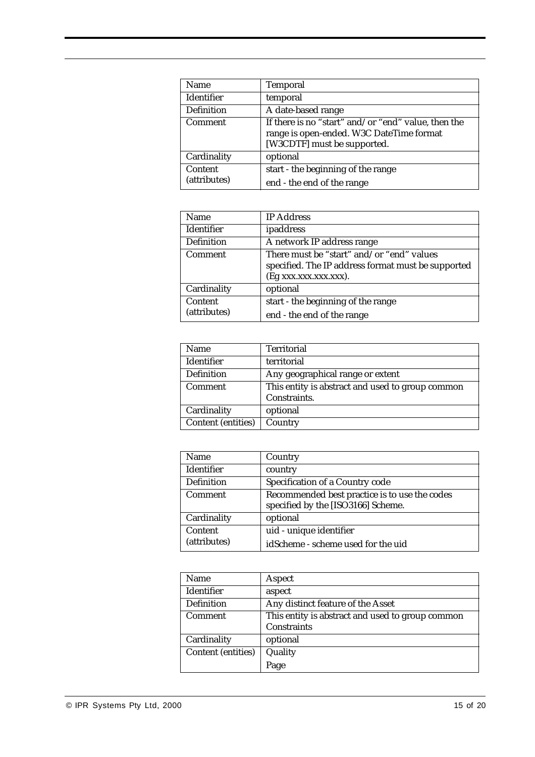| <b>Name</b>       | <b>Temporal</b>                                                                                                                |
|-------------------|--------------------------------------------------------------------------------------------------------------------------------|
| <b>Identifier</b> | temporal                                                                                                                       |
| Definition        | A date-based range                                                                                                             |
| <b>Comment</b>    | If there is no "start" and/or "end" value, then the<br>range is open-ended. W3C DateTime format<br>[W3CDTF] must be supported. |
| Cardinality       | optional                                                                                                                       |
| Content           | start - the beginning of the range                                                                                             |
| (attributes)      | end - the end of the range                                                                                                     |

| <b>Name</b>             | <b>IP</b> Address                                                                                                        |
|-------------------------|--------------------------------------------------------------------------------------------------------------------------|
| <b>Identifier</b>       | ipaddress                                                                                                                |
| <b>Definition</b>       | A network IP address range                                                                                               |
| <b>Comment</b>          | There must be "start" and/or "end" values<br>specified. The IP address format must be supported<br>(Eg xxx.xxx.xxx.xxx). |
| Cardinality             | optional                                                                                                                 |
| Content<br>(attributes) | start - the beginning of the range<br>end - the end of the range                                                         |

| <b>Name</b>               | <b>Territorial</b>                               |
|---------------------------|--------------------------------------------------|
| <b>Identifier</b>         | territorial                                      |
| <b>Definition</b>         | Any geographical range or extent                 |
| <b>Comment</b>            | This entity is abstract and used to group common |
|                           | Constraints.                                     |
| Cardinality               | optional                                         |
| <b>Content (entities)</b> | Country                                          |

| <b>Name</b>       | Country                                       |
|-------------------|-----------------------------------------------|
|                   |                                               |
| <b>Identifier</b> | country                                       |
| <b>Definition</b> | Specification of a Country code               |
| <b>Comment</b>    | Recommended best practice is to use the codes |
|                   | specified by the [ISO3166] Scheme.            |
| Cardinality       | optional                                      |
| Content           | uid - unique identifier                       |
| (attributes)      | idScheme - scheme used for the uid            |

| <b>Name</b>               | Aspect                                           |
|---------------------------|--------------------------------------------------|
| Identifier                | aspect                                           |
| <b>Definition</b>         | Any distinct feature of the Asset                |
| <b>Comment</b>            | This entity is abstract and used to group common |
|                           | <b>Constraints</b>                               |
| Cardinality               | optional                                         |
| <b>Content (entities)</b> | Quality                                          |
|                           | Page                                             |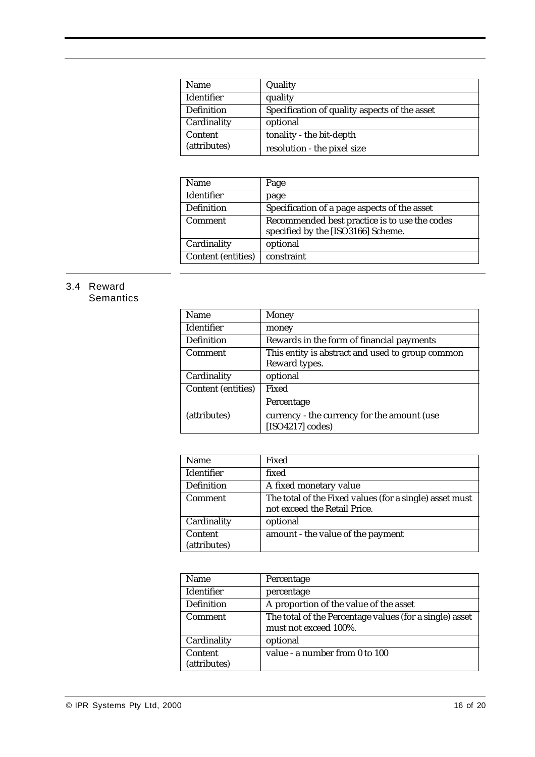| <b>Name</b>       | Quality                                       |
|-------------------|-----------------------------------------------|
| <b>Identifier</b> | quality                                       |
| <b>Definition</b> | Specification of quality aspects of the asset |
| Cardinality       | optional                                      |
| Content           | tonality - the bit-depth                      |
| (attributes)      | resolution - the pixel size                   |

| <b>Name</b>               | Page                                          |  |
|---------------------------|-----------------------------------------------|--|
| Identifier                | page                                          |  |
| <b>Definition</b>         | Specification of a page aspects of the asset  |  |
| <b>Comment</b>            | Recommended best practice is to use the codes |  |
|                           | specified by the [ISO3166] Scheme.            |  |
| Cardinality               | optional                                      |  |
| <b>Content (entities)</b> | constraint                                    |  |

# 3.4 Reward

**Semantics** 

| <b>Name</b>               | Money                                                           |  |
|---------------------------|-----------------------------------------------------------------|--|
| <b>Identifier</b>         | money                                                           |  |
| <b>Definition</b>         | Rewards in the form of financial payments                       |  |
| <b>Comment</b>            | This entity is abstract and used to group common                |  |
|                           | Reward types.                                                   |  |
| Cardinality               | optional                                                        |  |
| <b>Content (entities)</b> | Fixed                                                           |  |
|                           | Percentage                                                      |  |
| (attributes)              | currency - the currency for the amount (use<br>[ISO4217] codes] |  |

| <b>Name</b>             | Fixed                                                                                   |
|-------------------------|-----------------------------------------------------------------------------------------|
| Identifier              | fixed                                                                                   |
| <b>Definition</b>       | A fixed monetary value                                                                  |
| <b>Comment</b>          | The total of the Fixed values (for a single) asset must<br>not exceed the Retail Price. |
| Cardinality             | optional                                                                                |
| Content<br>(attributes) | amount - the value of the payment                                                       |

| <b>Name</b>       | Percentage                                              |  |
|-------------------|---------------------------------------------------------|--|
| <b>Identifier</b> | percentage                                              |  |
| <b>Definition</b> | A proportion of the value of the asset                  |  |
| <b>Comment</b>    | The total of the Percentage values (for a single) asset |  |
|                   | must not exceed 100%.                                   |  |
| Cardinality       | optional                                                |  |
| Content           | value - a number from 0 to 100                          |  |
| (attributes)      |                                                         |  |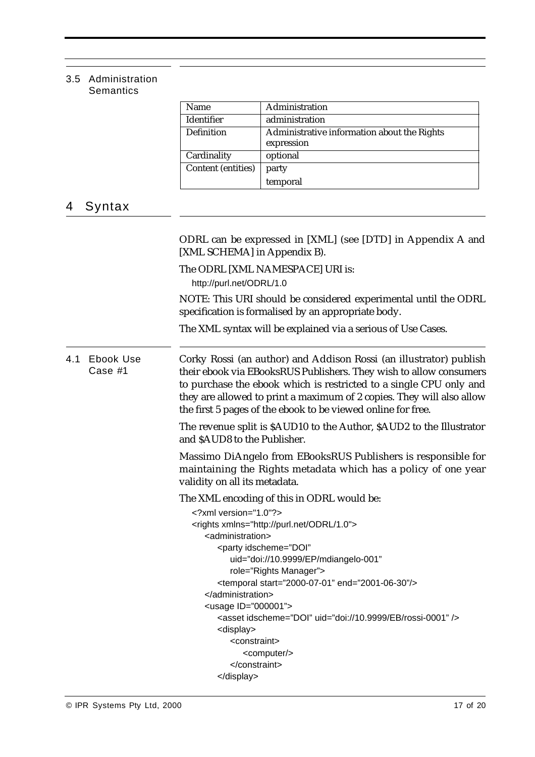### 3.5 Administration **Semantics**

|                             |        | Name                                                                                                                                                                                                                                                                                                                                                    | Administration                                                                                                                  |  |  |  |
|-----------------------------|--------|---------------------------------------------------------------------------------------------------------------------------------------------------------------------------------------------------------------------------------------------------------------------------------------------------------------------------------------------------------|---------------------------------------------------------------------------------------------------------------------------------|--|--|--|
|                             |        | Identifier                                                                                                                                                                                                                                                                                                                                              | administration                                                                                                                  |  |  |  |
|                             |        | Definition                                                                                                                                                                                                                                                                                                                                              | Administrative information about the Rights<br>expression                                                                       |  |  |  |
|                             |        | Cardinality                                                                                                                                                                                                                                                                                                                                             | optional                                                                                                                        |  |  |  |
|                             |        | <b>Content (entities)</b>                                                                                                                                                                                                                                                                                                                               | party                                                                                                                           |  |  |  |
|                             |        |                                                                                                                                                                                                                                                                                                                                                         | temporal                                                                                                                        |  |  |  |
| 4                           | Syntax |                                                                                                                                                                                                                                                                                                                                                         |                                                                                                                                 |  |  |  |
|                             |        | [XML SCHEMA] in Appendix B).                                                                                                                                                                                                                                                                                                                            | ODRL can be expressed in [XML] (see [DTD] in Appendix A and                                                                     |  |  |  |
|                             |        | The ODRL [XML NAMESPACE] URI is:                                                                                                                                                                                                                                                                                                                        |                                                                                                                                 |  |  |  |
|                             |        | http://purl.net/ODRL/1.0<br>NOTE: This URI should be considered experimental until the ODRL<br>specification is formalised by an appropriate body.                                                                                                                                                                                                      |                                                                                                                                 |  |  |  |
|                             |        |                                                                                                                                                                                                                                                                                                                                                         | The XML syntax will be explained via a serious of Use Cases.                                                                    |  |  |  |
| Ebook Use<br>4.1<br>Case #1 |        | Corky Rossi (an author) and Addison Rossi (an illustrator) publish<br>their ebook via EBooksRUS Publishers. They wish to allow consumers<br>to purchase the ebook which is restricted to a single CPU only and<br>they are allowed to print a maximum of 2 copies. They will also allow<br>the first 5 pages of the ebook to be viewed online for free. |                                                                                                                                 |  |  |  |
|                             |        | and \$AUD8 to the Publisher.                                                                                                                                                                                                                                                                                                                            | The revenue split is \$AUD10 to the Author, \$AUD2 to the Illustrator                                                           |  |  |  |
|                             |        | validity on all its metadata.                                                                                                                                                                                                                                                                                                                           | Massimo DiAngelo from EBooksRUS Publishers is responsible for<br>maintaining the Rights metadata which has a policy of one year |  |  |  |
|                             |        |                                                                                                                                                                                                                                                                                                                                                         | The XML encoding of this in ODRL would be:                                                                                      |  |  |  |
|                             |        | xml version="1.0"?                                                                                                                                                                                                                                                                                                                                      |                                                                                                                                 |  |  |  |
|                             |        |                                                                                                                                                                                                                                                                                                                                                         | <rights xmlns="http://purl.net/ODRL/1.0"></rights>                                                                              |  |  |  |
|                             |        | <administration></administration>                                                                                                                                                                                                                                                                                                                       |                                                                                                                                 |  |  |  |
|                             |        | <party <="" idscheme="DOI" td=""></party>                                                                                                                                                                                                                                                                                                               |                                                                                                                                 |  |  |  |
|                             |        |                                                                                                                                                                                                                                                                                                                                                         | uid="doi://10.9999/EP/mdiangelo-001"                                                                                            |  |  |  |
|                             |        |                                                                                                                                                                                                                                                                                                                                                         | role="Rights Manager">                                                                                                          |  |  |  |
|                             |        |                                                                                                                                                                                                                                                                                                                                                         | <temporal end="2001-06-30" start="2000-07-01"></temporal>                                                                       |  |  |  |
|                             |        | <usage id="000001"></usage>                                                                                                                                                                                                                                                                                                                             |                                                                                                                                 |  |  |  |
|                             |        |                                                                                                                                                                                                                                                                                                                                                         | <asset idscheme="DOI" uid="doi://10.9999/EB/rossi-0001"></asset>                                                                |  |  |  |
|                             |        | <display></display>                                                                                                                                                                                                                                                                                                                                     |                                                                                                                                 |  |  |  |
|                             |        | <constraint></constraint>                                                                                                                                                                                                                                                                                                                               |                                                                                                                                 |  |  |  |
|                             |        |                                                                                                                                                                                                                                                                                                                                                         | <computer></computer>                                                                                                           |  |  |  |
|                             |        |                                                                                                                                                                                                                                                                                                                                                         |                                                                                                                                 |  |  |  |
|                             |        |                                                                                                                                                                                                                                                                                                                                                         |                                                                                                                                 |  |  |  |

7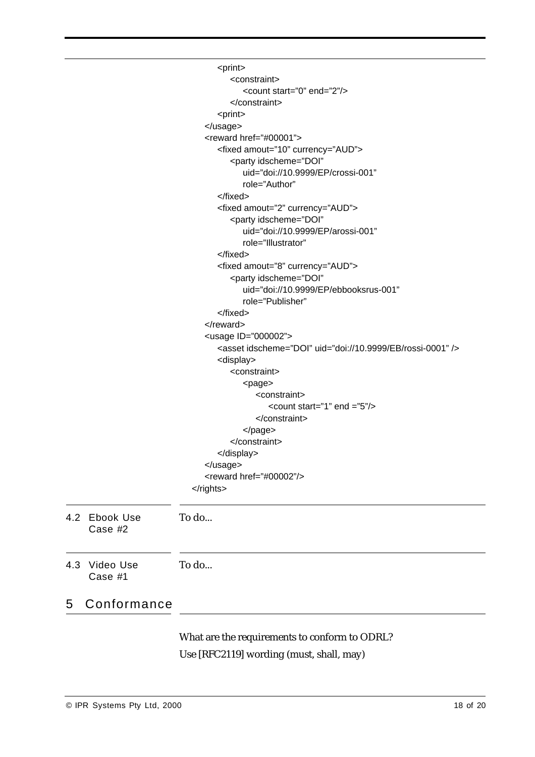|                             | <print></print>                                                  |
|-----------------------------|------------------------------------------------------------------|
|                             | <constraint></constraint>                                        |
|                             | <count end="2" start="0"></count>                                |
|                             | $<$ /constraint>                                                 |
|                             | <print></print>                                                  |
|                             |                                                                  |
|                             | <reward href="#00001"></reward>                                  |
|                             | <fixed amout="10" currency="AUD"></fixed>                        |
|                             | <party <="" idscheme="DOI" td=""></party>                        |
|                             | uid="doi://10.9999/EP/crossi-001"                                |
|                             | role="Author"                                                    |
|                             |                                                                  |
|                             | <fixed amout="2" currency="AUD"></fixed>                         |
|                             | <party <="" idscheme="DOI" td=""></party>                        |
|                             | uid="doi://10.9999/EP/arossi-001"                                |
|                             | role="Illustrator"                                               |
|                             |                                                                  |
|                             | <fixed amout="8" currency="AUD"></fixed>                         |
|                             | <party <="" idscheme="DOI" td=""></party>                        |
|                             | uid="doi://10.9999/EP/ebbooksrus-001"                            |
|                             | role="Publisher"                                                 |
|                             |                                                                  |
|                             |                                                                  |
|                             | <usage id="000002"></usage>                                      |
|                             | <asset idscheme="DOI" uid="doi://10.9999/EB/rossi-0001"></asset> |
|                             | <display></display>                                              |
|                             | <constraint></constraint>                                        |
|                             | <page></page>                                                    |
|                             | <constraint></constraint>                                        |
|                             | <count end="5" start="1"></count>                                |
|                             |                                                                  |
|                             | $<$ /page>                                                       |
|                             |                                                                  |
|                             |                                                                  |
|                             | <br><reward href="#00002"></reward>                              |
|                             |                                                                  |
|                             |                                                                  |
| 4.2<br>Ebook Use<br>Case #2 | To do                                                            |
|                             |                                                                  |
| Video Use<br>4.3<br>Case #1 | To do                                                            |
| Conformance<br>5            |                                                                  |
|                             |                                                                  |
|                             | What are the requirements to conform to ODRL?                    |
|                             | Use [RFC2119] wording (must, shall, may)                         |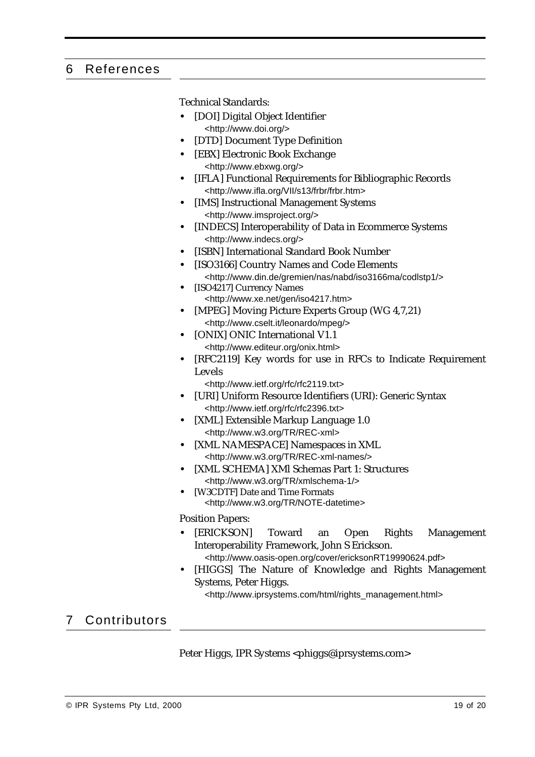## 6 References

Technical Standards:

- **•** [DOI] Digital Object Identifier <http://www.doi.org/>
- **•** [DTD] Document Type Definition
- **•** [EBX] Electronic Book Exchange <http://www.ebxwg.org/>
- **•** [IFLA] Functional Requirements for Bibliographic Records <http://www.ifla.org/VII/s13/frbr/frbr.htm>
- **•** [IMS] Instructional Management Systems <http://www.imsproject.org/>
- **•** [INDECS] Interoperability of Data in Ecommerce Systems <http://www.indecs.org/>
- **•** [ISBN] International Standard Book Number
- **•** [ISO3166] Country Names and Code Elements <http://www.din.de/gremien/nas/nabd/iso3166ma/codlstp1/>
- **•** [ISO4217] Currency Names <http://www.xe.net/gen/iso4217.htm>
- **•** [MPEG] Moving Picture Experts Group (WG 4,7,21) <http://www.cselt.it/leonardo/mpeg/>
- **•** [ONIX] ONIC International V1.1 <http://www.editeur.org/onix.html>
- **•** [RFC2119] Key words for use in RFCs to Indicate Requirement Levels

<http://www.ietf.org/rfc/rfc2119.txt>

- **•** [URI] Uniform Resource Identifiers (URI): Generic Syntax <http://www.ietf.org/rfc/rfc2396.txt>
- **•** [XML] Extensible Markup Language 1.0 <http://www.w3.org/TR/REC-xml>
- **•** [XML NAMESPACE] Namespaces in XML <http://www.w3.org/TR/REC-xml-names/>
- **•** [XML SCHEMA] XMl Schemas Part 1: Structures <http://www.w3.org/TR/xmlschema-1/>
- **•** [W3CDTF] Date and Time Formats <http://www.w3.org/TR/NOTE-datetime>

Position Papers:

- **•** [ERICKSON] Toward an Open Rights Management Interoperability Framework, John S Erickson. <http://www.oasis-open.org/cover/ericksonRT19990624.pdf>
- **•** [HIGGS] The Nature of Knowledge and Rights Management Systems, Peter Higgs.

<http://www.iprsystems.com/html/rights\_management.html>

# 7 Contributors

Peter Higgs, IPR Systems <phiggs@iprsystems.com>